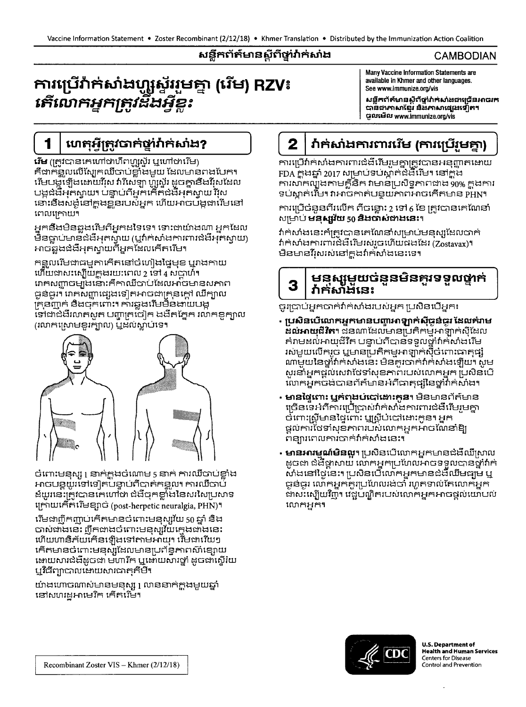3

## សន្លឹកព័ត៌មានស្តីពីថ្នាំវ៉ាក់សាំង

#### **CAMBODIAN**

# ការប្រើវ៉ាក់សាំងហ្សូស៊ីវរមគ្នា (រើម) RZV៖ <u> គើលោកអ្នកត្រូវដឹងអ្វីខ្លះ</u>

Many Vaccine Information Statements are available in Khmer and other languages. See www.immunize.org/vis

**มฐิธกั**ธ์ษาอยู้ก็ตู่บ่กระง่นตบต็อมาตกร បានជាភាសាខ្មែរ និងភាសាផ្សេងទៀត។ **ូលមើល www.immunize.org/vis** 

# ហេតុអ៊ីត្រូវបាក់ថ្នាំវ៉ាក់សាំង?

**វើម** (ក្រូវបានគេហៅថាហឹពហ្លូស្ទ័រ ឬហៅថារើម) គឺជាកន្ទួលលើស្បែកឈឺចាប់ខ្លាំងមួយ ដែលមានពងបែក។ ដើមបង្កឡើងដោយវីរុស វារីសេឡា ហ៊្សូស្ទ័រ ដូចគ្នានឹងវីរុសដែល បង្កជំងឺអ្នកស្វាយ។ បន្ទាប់ពីអ្នកកើតជំងឺអ្នកស្វាយ វីរុស នោះនឹងសង្កូនៅក្នុងខ្លួនរបស់អ្នក ហើយអាចបង្កដារើមនៅ ពេលក្រោយ។

អ្នកនឹងមិនឆ្លងរើមពីអ្នកដទៃទេ។ ទោះជាយ៉ាងណា អ្នកដែល មិនធ្លាប់មានជំងឺអុកស្វាយ (ឬវ៉ាក់សាំងការពារជំងឺអុកស្វាយ) អាចឆ្លងជំងឺអុកស្វាយពីអ្នកដែលកើតរើម។

កន្លួលរើមជាធម្មតាកើតនៅចំហៀងថ្ងៃមុខ ឬវាងកាយ ហើយជាសះស្បើយក្នុងរយៈពេល 2 ទៅ 4 សប្តាហ៍។ រោគសញ្ញាចម្បងនោះគឺកាឈឺចាប់ដែលអាចមានសភាព ធ្ងន់ធ្ងរ។ រោគសញ្ញាផ្សេងទៀតអាចជាគ្រុនក្តៅ ឃីក្បាល គ្រុនញូក់ និងចុកពោះ។ ការឆ្លងរើមមិនងាយបង្ក ទៅជាជំងឺរលកសួត បញ្ហាត្រចៀក ងងឹតភ្នែក រលកខូក្បាល (រលាកស្រោមខួរក្បាល) ឬដល់ស្លាប់ទេ។



ច់ពោះមនុស្ស រូ នាក់ក្តុងចំណោម 5 នាក់ ការឈឺចាប់ខ្លាំង អាចបន្តយូរទៅទៀតបន្ទាប់ពីបាត់កន្ទួល។ ការឃឺចាប់ ដ៍យូរនេះត្រូវបានគេហៅថា ជំងឺចុកខ្លាំងនៃសរសៃប្រសាទ ក្រោយកើតរើមខ្សាច់ (post-herpetic neuralgia, PHN)។

មើមជាញឹកញាប់កើតមានចំពោះមនុស្ស័យ 50 ឆ្នាំ និង ចាស់ជាងនេះ ញឹកជាងចំពោះមនុស្សវ័យក្មេងជាងនេះ ហើយហានិភ័យកើនឡើងទៅកាមអាយុ។ រើមជារើយៗ កើតមានចំពោះមនុស្សដែលមានប្រព័ន្ធភាពស៊ាំខ្សោយ អោយសារជំងឺដូចជា មហារីក ឬអោយសារថ្នាំ ដូចជាស្ទើរយ ឬវិធីព្យាបាលដោយសារធាតុគីមឺ។

យ៉ាងហោចណាស់មានមនុស្ស រូ លាននាក់ក្តុងមួយឆ្នាំ នៅសហរដ្ឋអាមេរិក កើតរើម។

#### វ៉ាក់សាំងការពាររើម (ការប្រើរួមគ្នា)  $\overline{2}$

ការប្រើវាក់សាំងការពារជំងឺរើមរួមគ្នាត្រូវបានអនុញ្ញាតដោយ FDA ក្នុងឆ្នាំ 2017 សម្រាប់ទប់ស្កាត់ជំងឺរើម។ នៅក្នុង ការសាកល្បឹងតាមគ្គីនិក វាមានប្រសិទ្ធភាពជាង 90% ក្នុងការ ទប់ស្កាត់រើម។ វាអាចកាត់បន្ថយភាពអាចកើតមាន PHN។

ការប្រើចំនួនពីរលើក ពីចន្លោះ 2 ទៅ 6 ខែ ត្រូវបានគេណែនាំ សម្រាប់ **មនុស្សយ** 50 និង**បាស់ជាងនេះ**។

វាក់សាំងនេះក៏ត្រូវបានគេណែនាំសម្រាប់មនុស្សដែលបាក់ វ៉ាក់សាំងការពារីជំងឺរើមរស់រួចហើយផងដែរ (Zostavax)។ មិនមានវីរុសរស់នៅក្នុងវ៉ាក់សាំងនេះទេ។

## <u>មនស្សមួយចនួនមិនគួរទទួលផ្ទាក់</u> វ៉ាក់សាំងនេះ

ចូរប្រាប់អ្នកបាក់វ៉ាក់សាំងរបស់អ្នក ប្រសិនបើអ្នក៖

- ប្រសិនបើលោកអ្នកមានបញ្ហាអាឡាក់ស៊ីប្លន់ប្លូវ ដែលគំរាម **ដល់អាយុជីវិត។** ជនណាដែលមានប្រតិកម្មអាឡាក់ស៊ីដែល គំរាមដល់អាយុជីវិត បន្ទាប់ពីបានទទួលថ្នាំវាក់សាំងរើម រស់មួយលើករួច ឬមានប្រតិកម្មអាឡាក់ស៊ីចំពោះធាតុផ្សំ ណាមួយនៃថ្នាំវាក់សាំងនេះ មិនគួរបាក់វាក់សាំងឡើយ។ សូម សូរនាំអ្នកផ្តល់សេវាថែទាំសុខភាពរបស់លោកអ្នក ប្រសិនបើ លោកអ្នកចងបានព័ត៌មានអំពីធាតុផ្សនៃថ្នាំវាក់សំងា
- **មានផ្ទៃពោះ ឬកំពុងប់បៅដោះកូន**។ មិនមានព័ត៌មាន ច្រើនទេអំពីការប្រើប្រាស់វាក់សាងការពារជំងឺរើមរួមគ្នា ច់ពោះស្រីមានផ្ទៃពោះ ឬស្រីប់បៅដោះកូន។ អ្នក ដ្ឋលការថែទាំសុខភាពរបស់លោកអ្នកអាចណែនាំឱ្យ ពន្យារពេលការបាក់វាក់សាំងនេះ។
- **មានអារម្មណ៍មិនលូ**។ ប្រសិនបើលោកអ្នកមានជំងឺឈឺស្រាល ដូចជា ជំងឺផ្តាសាយ លោកអ្នកប្រហែលអាចទទួលបានថ្នាំវាក់ ស់ងនៅថ្ងៃនេះ។ ប្រសិនបើលោកអ្នកមានជំងឺឈឹមធ្យូម ឬ ជូន់ធ្ងរ លោកអ្នកគួរប្រហែលរង់ចាំ រហូតទាល់តែលោកអ្នក ជាសះស្បើយវិញ។ វេជ្ជបណ្ឌិតរបស់លោកអ្នកអាចផ្តល់យោបល លោកអ្នក។



**U.S. Department of Health and Human Services Centers for Disease** Control and Prevention